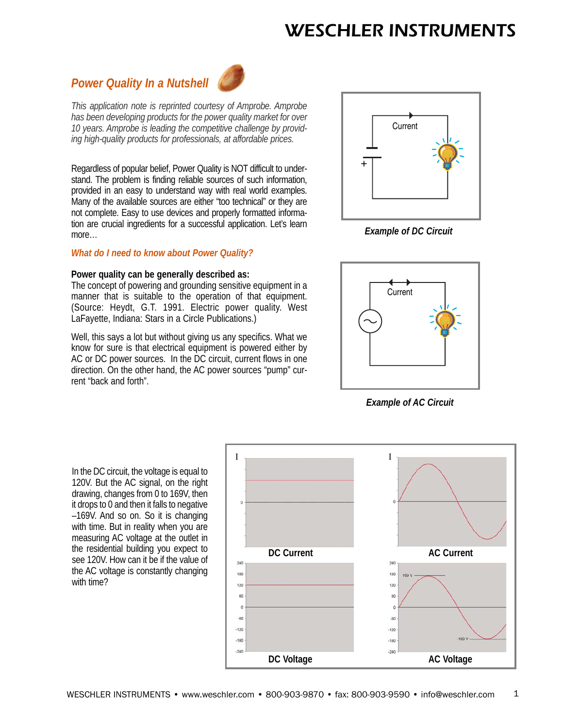# *Power Quality In a Nutshell*



*This application note is reprinted courtesy of Amprobe. Amprobe has been developing products for the power quality market for over 10 years. Amprobe is leading the competitive challenge by providing high-quality products for professionals, at affordable prices.*

Regardless of popular belief, Power Quality is NOT difficult to understand. The problem is finding reliable sources of such information, provided in an easy to understand way with real world examples. Many of the available sources are either "too technical" or they are not complete. Easy to use devices and properly formatted information are crucial ingredients for a successful application. Let's learn more…

# *What do I need to know about Power Quality?*

# **Power quality can be generally described as:**

The concept of powering and grounding sensitive equipment in a manner that is suitable to the operation of that equipment. (Source: Heydt, G.T. 1991. Electric power quality. West LaFayette, Indiana: Stars in a Circle Publications.)

Well, this says a lot but without giving us any specifics. What we know for sure is that electrical equipment is powered either by AC or DC power sources. In the DC circuit, current flows in one direction. On the other hand, the AC power sources "pump" current "back and forth".



*Example of DC Circuit*



*Example of AC Circuit*

In the DC circuit, the voltage is equal to 120V. But the AC signal, on the right drawing, changes from 0 to 169V, then it drops to 0 and then it falls to negative –169V. And so on. So it is changing with time. But in reality when you are measuring AC voltage at the outlet in the residential building you expect to see 120V. How can it be if the value of the AC voltage is constantly changing with time?

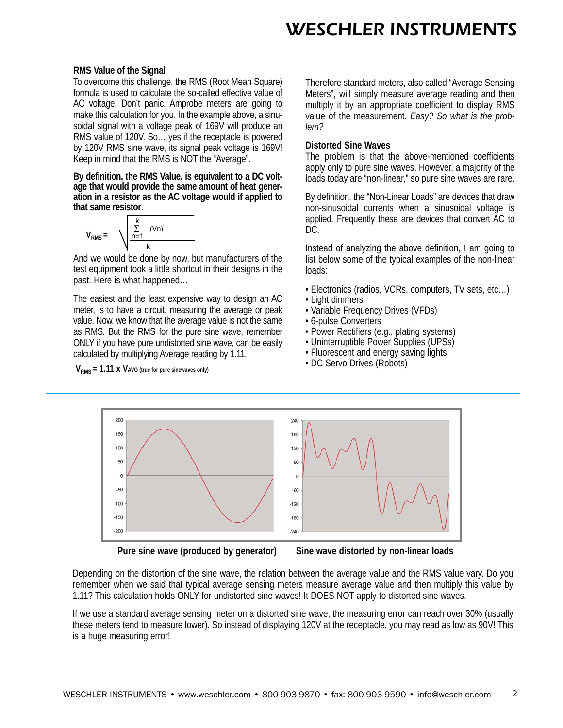#### **RMS Value of the Signal**

To overcome this challenge, the RMS (Root Mean Square) formula is used to calculate the so-called effective value of AC voltage. Don't panic. Amprobe meters are going to make this calculation for you. In the example above, a sinusoidal signal with a voltage peak of 169V will produce an RMS value of 120V. So… yes if the receptacle is powered by 120V RMS sine wave, its signal peak voltage is 169V! Keep in mind that the RMS is NOT the "Average".

**By definition, the RMS Value, is equivalent to a DC voltage that would provide the same amount of heat generation in a resistor as the AC voltage would if applied to that same resistor**.

$$
V_{RMS} = \sqrt{\frac{\sum_{n=1}^{k} (Vn)^2}{k}}
$$

And we would be done by now, but manufacturers of the test equipment took a little shortcut in their designs in the past. Here is what happened…

The easiest and the least expensive way to design an AC meter, is to have a circuit, measuring the average or peak value. Now, we know that the average value is not the same as RMS. But the RMS for the pure sine wave, remember ONLY if you have pure undistorted sine wave, can be easily calculated by multiplying Average reading by 1.11.

 $V_{RMS}$  = 1.11 x VAVG (true for pure sinewaves only)

Therefore standard meters, also called "Average Sensing Meters", will simply measure average reading and then multiply it by an appropriate coefficient to display RMS value of the measurement. *Easy? So what is the problem?*

#### **Distorted Sine Waves**

The problem is that the above-mentioned coefficients apply only to pure sine waves. However, a majority of the loads today are "non-linear," so pure sine waves are rare.

By definition, the "Non-Linear Loads" are devices that draw non-sinusoidal currents when a sinusoidal voltage is applied. Frequently these are devices that convert AC to DC.

Instead of analyzing the above definition, I am going to list below some of the typical examples of the non-linear loads:

- Electronics (radios, VCRs, computers, TV sets, etc…)
- Light dimmers
- Variable Frequency Drives (VFDs)
- 6-pulse Converters
- Power Rectifiers (e.g., plating systems)
- Uninterruptible Power Supplies (UPSs)
- Fluorescent and energy saving lights
- DC Servo Drives (Robots)



**Pure sine wave (produced by generator) Sine wave distorted by non-linear loads**

Depending on the distortion of the sine wave, the relation between the average value and the RMS value vary. Do you remember when we said that typical average sensing meters measure average value and then multiply this value by 1.11? This calculation holds ONLY for undistorted sine waves! It DOES NOT apply to distorted sine waves.

If we use a standard average sensing meter on a distorted sine wave, the measuring error can reach over 30% (usually these meters tend to measure lower). So instead of displaying 120V at the receptacle, you may read as low as 90V! This is a huge measuring error!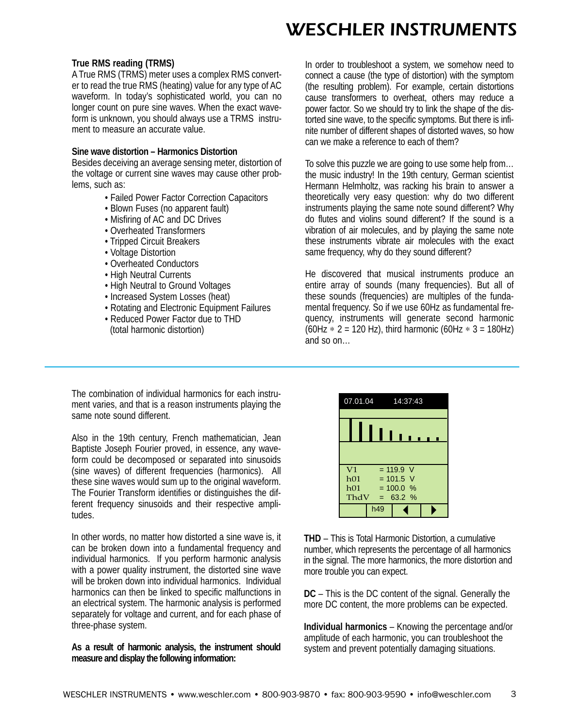### **True RMS reading (TRMS)**

A True RMS (TRMS) meter uses a complex RMS converter to read the true RMS (heating) value for any type of AC waveform. In today's sophisticated world, you can no longer count on pure sine waves. When the exact waveform is unknown, you should always use a TRMS instrument to measure an accurate value.

### **Sine wave distortion – Harmonics Distortion**

Besides deceiving an average sensing meter, distortion of the voltage or current sine waves may cause other problems, such as:

- Failed Power Factor Correction Capacitors
- Blown Fuses (no apparent fault)
- Misfiring of AC and DC Drives
- Overheated Transformers
- Tripped Circuit Breakers
- Voltage Distortion
- Overheated Conductors
- High Neutral Currents
- High Neutral to Ground Voltages
- Increased System Losses (heat)
- Rotating and Electronic Equipment Failures
- Reduced Power Factor due to THD (total harmonic distortion)

In order to troubleshoot a system, we somehow need to connect a cause (the type of distortion) with the symptom (the resulting problem). For example, certain distortions cause transformers to overheat, others may reduce a power factor. So we should try to link the shape of the distorted sine wave, to the specific symptoms. But there is infinite number of different shapes of distorted waves, so how can we make a reference to each of them?

To solve this puzzle we are going to use some help from… the music industry! In the 19th century, German scientist Hermann Helmholtz, was racking his brain to answer a theoretically very easy question: why do two different instruments playing the same note sound different? Why do flutes and violins sound different? If the sound is a vibration of air molecules, and by playing the same note these instruments vibrate air molecules with the exact same frequency, why do they sound different?

He discovered that musical instruments produce an entire array of sounds (many frequencies). But all of these sounds (frequencies) are multiples of the fundamental frequency. So if we use 60Hz as fundamental frequency, instruments will generate second harmonic (60Hz  $*$  2 = 120 Hz), third harmonic (60Hz  $*$  3 = 180Hz) and so on…

The combination of individual harmonics for each instrument varies, and that is a reason instruments playing the same note sound different.

Also in the 19th century, French mathematician, Jean Baptiste Joseph Fourier proved, in essence, any waveform could be decomposed or separated into sinusoids (sine waves) of different frequencies (harmonics). All these sine waves would sum up to the original waveform. The Fourier Transform identifies or distinguishes the different frequency sinusoids and their respective amplitudes.

In other words, no matter how distorted a sine wave is, it can be broken down into a fundamental frequency and individual harmonics. If you perform harmonic analysis with a power quality instrument, the distorted sine wave will be broken down into individual harmonics. Individual harmonics can then be linked to specific malfunctions in an electrical system. The harmonic analysis is performed separately for voltage and current, and for each phase of three-phase system.

**As a result of harmonic analysis, the instrument should measure and display the following information:**



**THD** – This is Total Harmonic Distortion, a cumulative number, which represents the percentage of all harmonics in the signal. The more harmonics, the more distortion and more trouble you can expect.

**DC** – This is the DC content of the signal. Generally the more DC content, the more problems can be expected.

**Individual harmonics** – Knowing the percentage and/or amplitude of each harmonic, you can troubleshoot the system and prevent potentially damaging situations.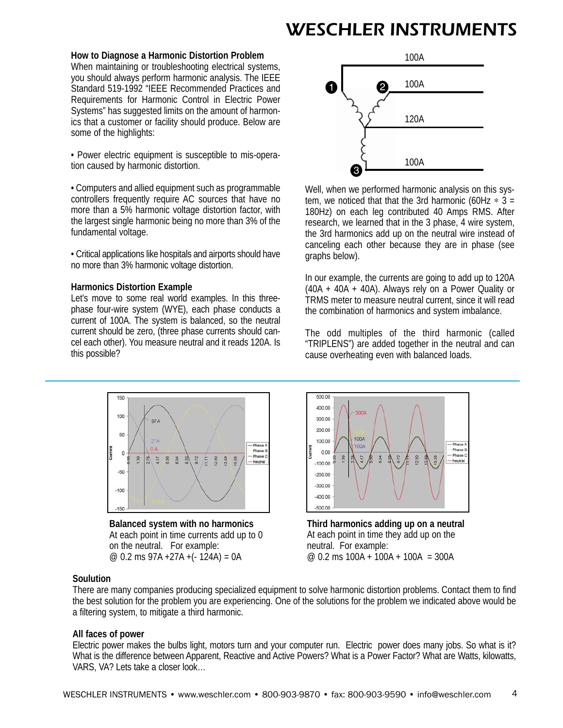### **How to Diagnose a Harmonic Distortion Problem**

When maintaining or troubleshooting electrical systems, you should always perform harmonic analysis. The IEEE Standard 519-1992 "IEEE Recommended Practices and Requirements for Harmonic Control in Electric Power Systems" has suggested limits on the amount of harmonics that a customer or facility should produce. Below are some of the highlights:

• Power electric equipment is susceptible to mis-operation caused by harmonic distortion.

• Computers and allied equipment such as programmable controllers frequently require AC sources that have no more than a 5% harmonic voltage distortion factor, with the largest single harmonic being no more than 3% of the fundamental voltage.

• Critical applications like hospitals and airports should have no more than 3% harmonic voltage distortion.

### **Harmonics Distortion Example**

Let's move to some real world examples. In this threephase four-wire system (WYE), each phase conducts a current of 100A. The system is balanced, so the neutral current should be zero, (three phase currents should cancel each other). You measure neutral and it reads 120A. Is this possible?



Well, when we performed harmonic analysis on this system, we noticed that that the 3rd harmonic (60Hz  $*$  3 = 180Hz) on each leg contributed 40 Amps RMS. After research, we learned that in the 3 phase, 4 wire system, the 3rd harmonics add up on the neutral wire instead of canceling each other because they are in phase (see graphs below).

In our example, the currents are going to add up to 120A  $(40A + 40A + 40A)$ . Always rely on a Power Quality or TRMS meter to measure neutral current, since it will read the combination of harmonics and system imbalance.

The odd multiples of the third harmonic (called "TRIPLENS") are added together in the neutral and can cause overheating even with balanced loads.



**Balanced system with no harmonics** At each point in time currents add up to 0 on the neutral. For example: @ 0.2 ms 97A +27A +(- 124A) = 0A



**Third harmonics adding up on a neutral** At each point in time they add up on the neutral. For example: @ 0.2 ms 100A + 100A + 100A = 300A

# **Soulution**

There are many companies producing specialized equipment to solve harmonic distortion problems. Contact them to find the best solution for the problem you are experiencing. One of the solutions for the problem we indicated above would be a filtering system, to mitigate a third harmonic.

# **All faces of power**

Electric power makes the bulbs light, motors turn and your computer run. Electric power does many jobs. So what is it? What is the difference between Apparent, Reactive and Active Powers? What is a Power Factor? What are Watts, kilowatts, VARS, VA? Lets take a closer look…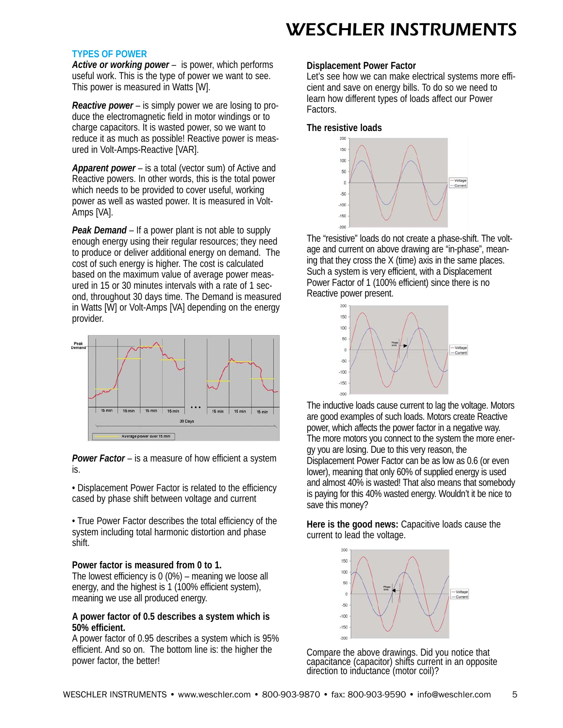#### **TYPES OF POWER**

*Active or working power* – is power, which performs useful work. This is the type of power we want to see. This power is measured in Watts [W].

*Reactive power* – is simply power we are losing to produce the electromagnetic field in motor windings or to charge capacitors. It is wasted power, so we want to reduce it as much as possible! Reactive power is measured in Volt-Amps-Reactive [VAR].

*Apparent power* – is a total (vector sum) of Active and Reactive powers. In other words, this is the total power which needs to be provided to cover useful, working power as well as wasted power. It is measured in Volt-Amps [VA].

*Peak Demand* – If a power plant is not able to supply enough energy using their regular resources; they need to produce or deliver additional energy on demand. The cost of such energy is higher. The cost is calculated based on the maximum value of average power measured in 15 or 30 minutes intervals with a rate of 1 second, throughout 30 days time. The Demand is measured in Watts [W] or Volt-Amps [VA] depending on the energy provider.



*Power Factor* – is a measure of how efficient a system is.

• Displacement Power Factor is related to the efficiency cased by phase shift between voltage and current

• True Power Factor describes the total efficiency of the system including total harmonic distortion and phase shift.

#### **Power factor is measured from 0 to 1.**

The lowest efficiency is 0 (0%) – meaning we loose all energy, and the highest is 1 (100% efficient system), meaning we use all produced energy.

# **A power factor of 0.5 describes a system which is 50% efficient.**

A power factor of 0.95 describes a system which is 95% efficient. And so on. The bottom line is: the higher the power factor, the better!

### **Displacement Power Factor**

Let's see how we can make electrical systems more efficient and save on energy bills. To do so we need to learn how different types of loads affect our Power Factors.

### **The resistive loads**



The "resistive" loads do not create a phase-shift. The voltage and current on above drawing are "in-phase", meaning that they cross the X (time) axis in the same places. Such a system is very efficient, with a Displacement Power Factor of 1 (100% efficient) since there is no Reactive power present.



The inductive loads cause current to lag the voltage. Motors are good examples of such loads. Motors create Reactive power, which affects the power factor in a negative way. The more motors you connect to the system the more energy you are losing. Due to this very reason, the Displacement Power Factor can be as low as 0.6 (or even lower), meaning that only 60% of supplied energy is used and almost 40% is wasted! That also means that somebody is paying for this 40% wasted energy. Wouldn't it be nice to save this money?

**Here is the good news:** Capacitive loads cause the current to lead the voltage.



Compare the above drawings. Did you notice that capacitance (capacitor) shifts current in an opposite direction to inductance (motor coil)?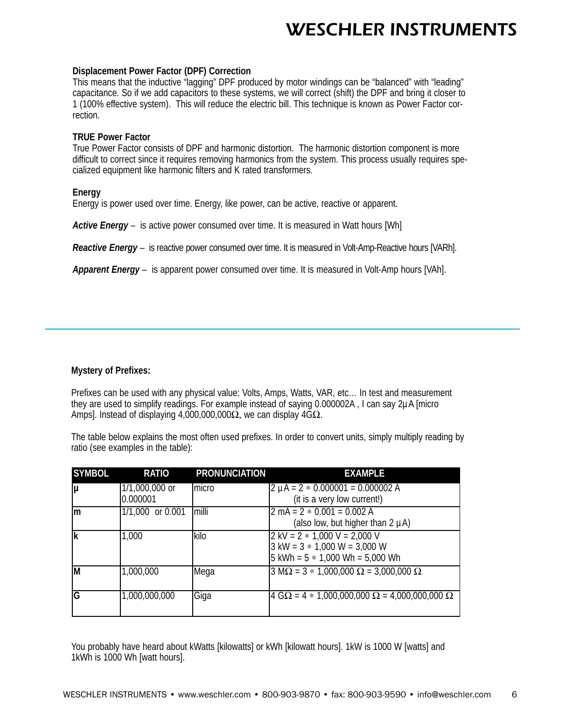### **Displacement Power Factor (DPF) Correction**

This means that the inductive "lagging" DPF produced by motor windings can be "balanced" with "leading" capacitance. So if we add capacitors to these systems, we will correct (shift) the DPF and bring it closer to 1 (100% effective system). This will reduce the electric bill. This technique is known as Power Factor correction.

### **TRUE Power Factor**

True Power Factor consists of DPF and harmonic distortion. The harmonic distortion component is more difficult to correct since it requires removing harmonics from the system. This process usually requires specialized equipment like harmonic filters and K rated transformers.

# **Energy**

Energy is power used over time. Energy, like power, can be active, reactive or apparent.

*Active Energy* – is active power consumed over time. It is measured in Watt hours [Wh]

*Reactive Energy* – is reactive power consumed over time. It is measured in Volt-Amp-Reactive hours [VARh].

*Apparent Energy* – is apparent power consumed over time. It is measured in Volt-Amp hours [VAh].

# **Mystery of Prefixes:**

Prefixes can be used with any physical value: Volts, Amps, Watts, VAR, etc… In test and measurement they are used to simplify readings. For example instead of saying 0.000002A , I can say 2µA [micro Amps]. Instead of displaying 4,000,000,000 $\Omega$ , we can display 4G $\Omega$ .

The table below explains the most often used prefixes. In order to convert units, simply multiply reading by ratio (see examples in the table):

| <b>SYMBOL</b> | <b>RATIO</b>               | <b>PRONUNCIATION</b> | <b>EXAMPLE</b>                                                                                                                                          |
|---------------|----------------------------|----------------------|---------------------------------------------------------------------------------------------------------------------------------------------------------|
| lμ            | 1/1,000,000 or<br>0.000001 | Imicro               | $2 \mu A = 2 * 0.000001 = 0.000002 A$<br>(it is a very low current!)                                                                                    |
| Im            | 1/1,000 or 0.001           | milli                | $2 \text{ mA} = 2 * 0.001 = 0.002 \text{ A}$<br>(also low, but higher than $2 \mu A$ )                                                                  |
| lk            | 1,000                      | kilo                 | $2$ kV = $2 * 1,000$ V = 2,000 V<br>$3 \text{ kW} = 3 * 1,000 \text{ W} = 3,000 \text{ W}$<br>$5 \text{ kWh} = 5 * 1,000 \text{ Wh} = 5,000 \text{ Wh}$ |
| ĪМ            | 1,000,000                  | Mega                 | $3 \text{ M}\Omega = 3 * 1,000,000 \Omega = 3,000,000 \Omega$                                                                                           |
| G             | 1,000,000,000              | Giga                 | $4 \text{ G}\Omega = 4 * 1,000,000,000 \Omega = 4,000,000,000 \Omega$                                                                                   |

You probably have heard about kWatts [kilowatts] or kWh [kilowatt hours]. 1kW is 1000 W [watts] and 1kWh is 1000 Wh [watt hours].